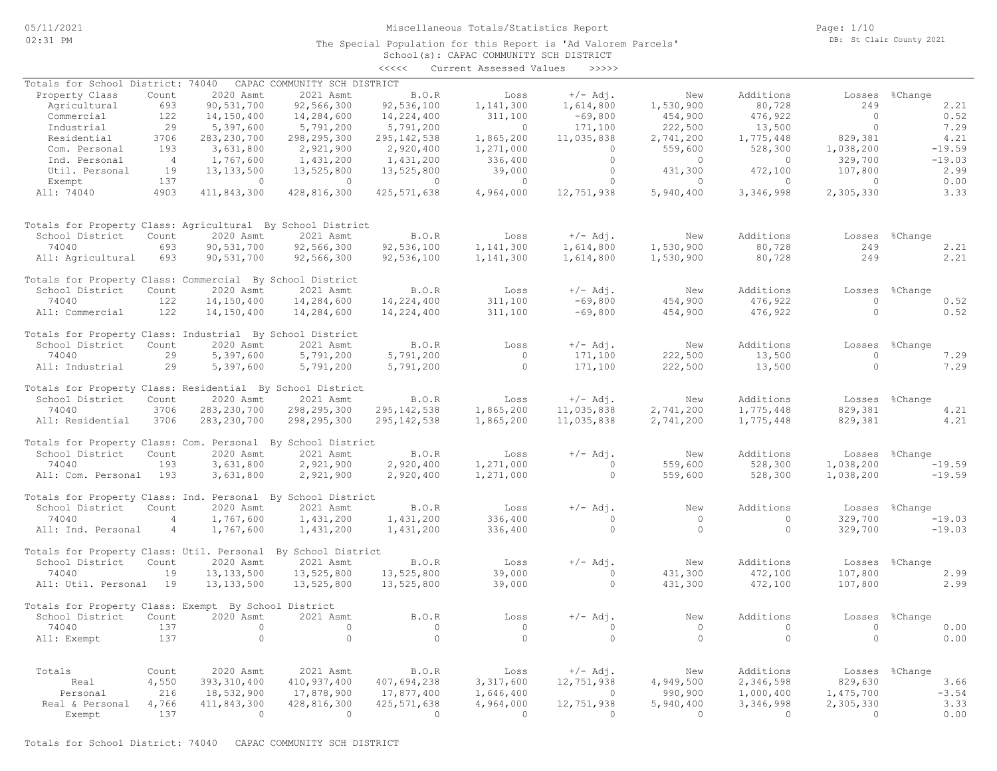The Special Population for this Report is 'Ad Valorem Parcels'

Page: 1/10 DB: St Clair County 2021

|                                                              |                |                |                              |                | School(s): CAPAC COMMUNITY SCH DISTRICT |            |           |           |                |                |
|--------------------------------------------------------------|----------------|----------------|------------------------------|----------------|-----------------------------------------|------------|-----------|-----------|----------------|----------------|
|                                                              |                |                |                              | <<<<           | Current Assessed Values                 | >>>>>      |           |           |                |                |
| Totals for School District: 74040                            |                |                | CAPAC COMMUNITY SCH DISTRICT |                |                                         |            |           |           |                |                |
| Property Class                                               | Count          | 2020 Asmt      | 2021 Asmt                    | B.O.R          | Loss                                    | $+/-$ Adj. | New       | Additions | Losses         | %Change        |
| Agricultural                                                 | 693            | 90,531,700     | 92,566,300                   | 92,536,100     | 1,141,300                               | 1,614,800  | 1,530,900 | 80,728    | 249            | 2.21           |
| Commercial                                                   | 122            | 14,150,400     | 14,284,600                   | 14,224,400     | 311,100                                 | $-69,800$  | 454,900   | 476,922   | $\circ$        | 0.52           |
| Industrial                                                   | 29             | 5,397,600      | 5,791,200                    | 5,791,200      | $\circ$                                 | 171,100    | 222,500   | 13,500    | $\Omega$       | 7.29           |
| Residential                                                  | 3706           | 283, 230, 700  | 298, 295, 300                | 295, 142, 538  | 1,865,200                               | 11,035,838 | 2,741,200 | 1,775,448 | 829,381        | 4.21           |
| Com. Personal                                                | 193            | 3,631,800      | 2,921,900                    | 2,920,400      | 1,271,000                               | $\circ$    | 559,600   | 528,300   | 1,038,200      | $-19.59$       |
| Ind. Personal                                                | $\overline{4}$ | 1,767,600      | 1,431,200                    | 1,431,200      | 336,400                                 | $\circ$    | $\circ$   | $\circ$   | 329,700        | $-19.03$       |
| Util. Personal                                               | 19             | 13, 133, 500   | 13,525,800                   | 13,525,800     | 39,000                                  | $\circ$    | 431,300   | 472,100   | 107,800        | 2.99           |
| Exempt                                                       | 137            | $\circ$        | $\overline{0}$               | $\overline{0}$ | $\circ$                                 | $\Omega$   | $\circ$   | $\Omega$  | $\Omega$       | 0.00           |
| All: 74040                                                   | 4903           | 411,843,300    | 428,816,300                  | 425, 571, 638  | 4,964,000                               | 12,751,938 | 5,940,400 | 3,346,998 | 2,305,330      | 3.33           |
| Totals for Property Class: Agricultural By School District   |                |                |                              |                |                                         |            |           |           |                |                |
| School District                                              | Count          | 2020 Asmt      | 2021 Asmt                    | B.O.R          | Loss                                    | $+/-$ Adj. | New       | Additions | Losses         | %Change        |
| 74040                                                        | 693            | 90,531,700     | 92,566,300                   | 92,536,100     | 1,141,300                               | 1,614,800  | 1,530,900 | 80,728    | 249            | 2.21           |
|                                                              | 693            | 90,531,700     | 92,566,300                   | 92,536,100     | 1,141,300                               | 1,614,800  | 1,530,900 | 80,728    | 249            | 2.21           |
| All: Agricultural                                            |                |                |                              |                |                                         |            |           |           |                |                |
| Totals for Property Class: Commercial By School District     |                |                |                              |                |                                         |            |           |           |                |                |
| School District                                              | Count          | 2020 Asmt      | 2021 Asmt                    | B.O.R          | Loss                                    | $+/-$ Adj. | New       | Additions | Losses         | %Change        |
| 74040                                                        | 122            | 14,150,400     | 14,284,600                   | 14,224,400     | 311,100                                 | $-69,800$  | 454,900   | 476,922   | $\circ$        | 0.52           |
| All: Commercial                                              | 122            | 14,150,400     | 14,284,600                   | 14,224,400     | 311,100                                 | $-69,800$  | 454,900   | 476,922   | $\Omega$       | 0.52           |
| Totals for Property Class: Industrial By School District     |                |                |                              |                |                                         |            |           |           |                |                |
| School District                                              | Count          | 2020 Asmt      | 2021 Asmt                    | B.O.R          | Loss                                    | $+/-$ Adj. | New       | Additions | Losses         | %Change        |
| 74040                                                        | 29             | 5,397,600      | 5,791,200                    | 5,791,200      | $\circ$                                 | 171,100    | 222,500   | 13,500    | $\circ$        | 7.29           |
| All: Industrial                                              | 29             | 5,397,600      | 5,791,200                    | 5,791,200      | $\circ$                                 | 171,100    | 222,500   | 13,500    | $\circ$        | 7.29           |
| Totals for Property Class: Residential By School District    |                |                |                              |                |                                         |            |           |           |                |                |
| School District                                              | Count          | 2020 Asmt      | 2021 Asmt                    | B.O.R          | Loss                                    | $+/-$ Adj. | New       | Additions |                | Losses %Change |
| 74040                                                        | 3706           | 283, 230, 700  | 298, 295, 300                | 295, 142, 538  | 1,865,200                               | 11,035,838 | 2,741,200 | 1,775,448 | 829,381        | 4.21           |
| All: Residential                                             | 3706           | 283, 230, 700  | 298, 295, 300                | 295, 142, 538  | 1,865,200                               | 11,035,838 | 2,741,200 | 1,775,448 | 829,381        | 4.21           |
| Totals for Property Class: Com. Personal By School District  |                |                |                              |                |                                         |            |           |           |                |                |
| School District                                              | Count          | 2020 Asmt      | 2021 Asmt                    | B.O.R          | Loss                                    | $+/-$ Adj. | New       | Additions |                | Losses %Change |
| 74040                                                        | 193            | 3,631,800      | 2,921,900                    | 2,920,400      | 1,271,000                               | $\circ$    | 559,600   | 528,300   | 1,038,200      | $-19.59$       |
| All: Com. Personal 193                                       |                | 3,631,800      | 2,921,900                    | 2,920,400      | 1,271,000                               | $\circ$    | 559,600   | 528,300   | 1,038,200      | $-19.59$       |
| Totals for Property Class: Ind. Personal By School District  |                |                |                              |                |                                         |            |           |           |                |                |
| School District                                              | Count          | 2020 Asmt      | 2021 Asmt                    | B.O.R          | Loss                                    | $+/-$ Adj. | New       | Additions |                | Losses %Change |
| 74040                                                        | $\overline{4}$ | 1,767,600      | 1,431,200                    | 1,431,200      | 336,400                                 | $\circ$    | $\circ$   | $\circ$   | 329,700        | $-19.03$       |
| All: Ind. Personal                                           | 4              | 1,767,600      | 1,431,200                    | 1,431,200      | 336,400                                 | $\circ$    | $\circ$   | $\circ$   | 329,700        | $-19.03$       |
| Totals for Property Class: Util. Personal By School District |                |                |                              |                |                                         |            |           |           |                |                |
| School District                                              | Count          | 2020 Asmt      | 2021 Asmt                    | B.O.R          | Loss                                    | $+/-$ Adj. | New       | Additions | Losses         | %Change        |
| 74040                                                        | 19             | 13, 133, 500   | 13,525,800                   | 13,525,800     | 39,000                                  | $\circ$    | 431,300   | 472,100   | 107,800        | 2.99           |
| All: Util. Personal 19                                       |                | 13, 133, 500   | 13,525,800                   | 13,525,800     | 39,000                                  | $\circ$    | 431,300   | 472,100   | 107,800        | 2.99           |
| Totals for Property Class: Exempt By School District         |                |                |                              |                |                                         |            |           |           |                |                |
| School District Count 2020 Asmt 2021 Asmt                    |                |                |                              | B.O.R          | Loss                                    | $+/-$ Adj. | New       | Additions |                | Losses %Change |
| 74040                                                        | 137            | $\circ$        | $\circ$                      | $\circ$        | $\circ$                                 | $\circ$    | $\circ$   | $\circ$   | $\circ$        | 0.00           |
| All: Exempt                                                  | 137            | $\overline{0}$ | $\overline{0}$               | $\circ$        | $\bigcirc$                              | $\Omega$   | $\Omega$  | $\circ$   | $\Omega$       | 0.00           |
|                                                              |                |                |                              |                |                                         |            |           |           |                |                |
| Totals                                                       | Count          | 2020 Asmt      | 2021 Asmt                    | <b>B.O.R</b>   | Loss                                    | +/- Adj.   | New       | Additions | Losses %Change |                |
| Real                                                         | 4,550          | 393, 310, 400  | 410,937,400                  | 407,694,238    | 3,317,600                               | 12,751,938 | 4,949,500 | 2,346,598 | 829,630        | 3.66           |
| Personal                                                     | 216            | 18,532,900     | 17,878,900                   | 17,877,400     | 1,646,400                               | $\sim$ 0   | 990,900   | 1,000,400 | 1,475,700      | $-3.54$        |
| Real & Personal                                              | 4,766          | 411,843,300    | 428,816,300                  | 425, 571, 638  | 4,964,000                               | 12,751,938 | 5,940,400 | 3,346,998 | 2,305,330      | 3.33           |
| Exempt                                                       | 137            | $\sim$ 0       | $\sim$ 0                     | $\circ$        | $\sim$ 0                                | $\sim$ 0   | $\Omega$  | $\sim$ 0  | $\sim$ 0       | 0.00           |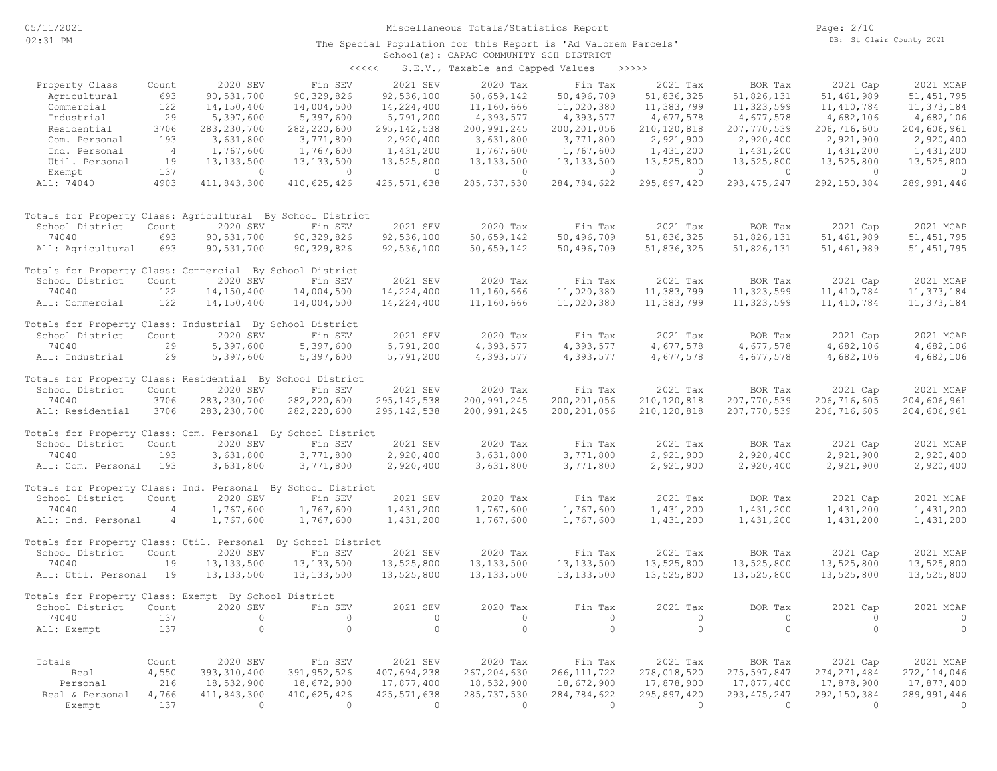Page: 2/10 DB: St Clair County 2021

#### School(s): CAPAC COMMUNITY SCH DISTRICT The Special Population for this Report is 'Ad Valorem Parcels'

| <<<< |  | S.E.V., Taxable and Capped Values |  | >>>>>> |
|------|--|-----------------------------------|--|--------|
|------|--|-----------------------------------|--|--------|

|                                                              |                |                             |                          |                           | $5.2.7$ , $2.00000000$      |                          |                           |                             |                             |                             |
|--------------------------------------------------------------|----------------|-----------------------------|--------------------------|---------------------------|-----------------------------|--------------------------|---------------------------|-----------------------------|-----------------------------|-----------------------------|
| Property Class                                               | Count          | 2020 SEV                    | Fin SEV                  | 2021 SEV                  | 2020 Tax                    | Fin Tax                  | 2021 Tax                  | BOR Tax                     | 2021 Cap                    | 2021 MCAP                   |
| Agricultural                                                 | 693            | 90,531,700                  | 90,329,826               | 92,536,100                | 50,659,142                  | 50,496,709               | 51,836,325                | 51,826,131                  | 51, 461, 989                | 51, 451, 795                |
| Commercial                                                   | 122            | 14,150,400                  | 14,004,500               | 14,224,400                | 11,160,666                  | 11,020,380               | 11,383,799                | 11,323,599                  | 11, 410, 784                | 11, 373, 184                |
| Industrial                                                   | 29             | 5,397,600                   | 5,397,600                | 5,791,200                 | 4,393,577                   | 4,393,577                | 4,677,578                 | 4,677,578                   | 4,682,106                   | 4,682,106                   |
| Residential                                                  | 3706           | 283, 230, 700               | 282, 220, 600            | 295, 142, 538             | 200, 991, 245               | 200, 201, 056            | 210, 120, 818             | 207,770,539                 | 206,716,605                 | 204,606,961                 |
| Com. Personal                                                | 193            | 3,631,800                   | 3,771,800                | 2,920,400                 | 3,631,800                   | 3,771,800                | 2,921,900                 | 2,920,400                   | 2,921,900                   | 2,920,400                   |
| Ind. Personal                                                | $\overline{4}$ | 1,767,600                   | 1,767,600                | 1,431,200                 | 1,767,600                   | 1,767,600                | 1,431,200                 | 1,431,200                   | 1,431,200                   | 1,431,200                   |
| Util. Personal                                               | 19             | 13, 133, 500                | 13, 133, 500             | 13,525,800                | 13, 133, 500                | 13, 133, 500             | 13,525,800                | 13,525,800                  | 13,525,800                  | 13,525,800                  |
| Exempt                                                       | 137            | $\circ$                     | $\overline{0}$           | $\circ$                   | $\overline{0}$              | $\circ$                  | $\circ$                   | $\circ$                     | $\circ$                     | $\circ$                     |
| All: 74040                                                   | 4903           | 411,843,300                 | 410,625,426              | 425, 571, 638             | 285, 737, 530               | 284,784,622              | 295,897,420               | 293, 475, 247               | 292, 150, 384               | 289,991,446                 |
| Totals for Property Class: Agricultural By School District   |                |                             |                          |                           |                             |                          |                           |                             |                             |                             |
| School District                                              | Count          | 2020 SEV                    | Fin SEV                  | 2021 SEV                  | 2020 Tax                    | Fin Tax                  | 2021 Tax                  | BOR Tax                     | 2021 Cap                    | 2021 MCAP                   |
| 74040                                                        | 693            | 90,531,700                  | 90,329,826               | 92,536,100                | 50,659,142                  | 50,496,709               | 51,836,325                | 51,826,131                  | 51, 461, 989                | 51, 451, 795                |
| All: Agricultural                                            | 693            | 90,531,700                  | 90,329,826               | 92,536,100                | 50,659,142                  | 50,496,709               | 51,836,325                | 51,826,131                  | 51,461,989                  | 51, 451, 795                |
| Totals for Property Class: Commercial By School District     |                |                             |                          |                           |                             |                          |                           |                             |                             |                             |
| School District                                              | Count          | 2020 SEV                    | Fin SEV                  | 2021 SEV                  | 2020 Tax                    | Fin Tax                  | 2021 Tax                  | BOR Tax                     | 2021 Cap                    | 2021 MCAP                   |
| 74040                                                        | 122            | 14,150,400                  | 14,004,500               | 14,224,400                | 11,160,666                  | 11,020,380               | 11,383,799                | 11,323,599                  | 11, 410, 784                | 11, 373, 184                |
| All: Commercial                                              | 122            | 14,150,400                  | 14,004,500               | 14,224,400                | 11,160,666                  | 11,020,380               | 11,383,799                | 11,323,599                  | 11,410,784                  | 11, 373, 184                |
| Totals for Property Class: Industrial By School District     |                |                             |                          |                           |                             |                          |                           |                             |                             |                             |
| School District                                              | Count          | 2020 SEV                    | Fin SEV                  | 2021 SEV                  | 2020 Tax                    | Fin Tax                  | 2021 Tax                  | BOR Tax                     | 2021 Cap                    | 2021 MCAP                   |
| 74040                                                        | 29             | 5,397,600                   | 5,397,600                | 5,791,200                 | 4,393,577                   | 4,393,577                | 4,677,578                 | 4,677,578                   | 4,682,106                   | 4,682,106                   |
| All: Industrial                                              | 29             | 5,397,600                   | 5,397,600                | 5,791,200                 | 4,393,577                   | 4,393,577                | 4,677,578                 | 4,677,578                   | 4,682,106                   | 4,682,106                   |
| Totals for Property Class: Residential By School District    |                |                             |                          |                           |                             |                          |                           |                             |                             |                             |
| School District                                              | Count          | 2020 SEV                    | Fin SEV                  | 2021 SEV                  | 2020 Tax                    | Fin Tax                  | 2021 Tax                  | BOR Tax                     | 2021 Cap                    | 2021 MCAP                   |
| 74040                                                        | 3706           | 283, 230, 700               | 282, 220, 600            | 295, 142, 538             | 200,991,245                 | 200, 201, 056            | 210,120,818               | 207,770,539                 | 206,716,605                 | 204,606,961                 |
| All: Residential                                             | 3706           | 283, 230, 700               | 282,220,600              | 295, 142, 538             | 200,991,245                 | 200, 201, 056            | 210, 120, 818             | 207,770,539                 | 206,716,605                 | 204,606,961                 |
| Totals for Property Class: Com. Personal By School District  |                |                             |                          |                           |                             |                          |                           |                             |                             |                             |
| School District                                              | Count          | 2020 SEV                    | Fin SEV                  | 2021 SEV                  | 2020 Tax                    | Fin Tax                  | 2021 Tax                  | BOR Tax                     | 2021 Cap                    | 2021 MCAP                   |
| 74040                                                        | 193            | 3,631,800                   | 3,771,800                | 2,920,400                 | 3,631,800                   | 3,771,800                | 2,921,900                 | 2,920,400                   | 2,921,900                   | 2,920,400                   |
| All: Com. Personal                                           | 193            | 3,631,800                   | 3,771,800                | 2,920,400                 | 3,631,800                   | 3,771,800                | 2,921,900                 | 2,920,400                   | 2,921,900                   | 2,920,400                   |
| Totals for Property Class: Ind. Personal By School District  |                |                             |                          |                           |                             |                          |                           |                             |                             |                             |
| School District                                              | Count          | 2020 SEV                    | Fin SEV                  | 2021 SEV                  | 2020 Tax                    | Fin Tax                  | 2021 Tax                  | BOR Tax                     | 2021 Cap                    | 2021 MCAP                   |
| 74040                                                        | $\overline{4}$ | 1,767,600                   | 1,767,600                | 1,431,200                 | 1,767,600                   | 1,767,600                | 1,431,200                 | 1,431,200                   | 1,431,200                   | 1,431,200                   |
| All: Ind. Personal                                           | $\overline{4}$ | 1,767,600                   | 1,767,600                | 1,431,200                 | 1,767,600                   | 1,767,600                | 1,431,200                 | 1,431,200                   | 1,431,200                   | 1,431,200                   |
| Totals for Property Class: Util. Personal By School District |                |                             |                          |                           |                             |                          |                           |                             |                             |                             |
| School District                                              | Count          | 2020 SEV                    | Fin SEV                  | 2021 SEV                  | 2020 Tax                    | Fin Tax                  | 2021 Tax                  | BOR Tax                     | 2021 Cap                    | 2021 MCAP                   |
| 74040                                                        | 19             | 13, 133, 500                | 13, 133, 500             | 13,525,800                | 13, 133, 500                | 13, 133, 500             | 13,525,800                | 13,525,800                  | 13,525,800                  | 13,525,800                  |
| All: Util. Personal 19                                       |                | 13, 133, 500                | 13, 133, 500             | 13,525,800                | 13, 133, 500                | 13, 133, 500             | 13,525,800                | 13,525,800                  | 13,525,800                  | 13,525,800                  |
| Totals for Property Class: Exempt By School District         |                |                             |                          |                           |                             |                          |                           |                             |                             |                             |
| School District                                              | Count          | 2020 SEV                    | Fin SEV                  | 2021 SEV                  | 2020 Tax                    | Fin Tax                  | 2021 Tax                  | BOR Tax                     | 2021 Cap                    | 2021 MCAP                   |
| 74040                                                        | 137            | $\circ$                     | $\circ$                  | $\circ$                   | $\circ$                     | $\circ$                  | $\circ$                   | $\circ$                     | $\circ$                     | $\circ$                     |
| All: Exempt                                                  | 137            | $\circ$                     | $\circ$                  | $\circ$                   | $\circ$                     | $\circ$                  | $\circ$                   | $\circ$                     | $\Omega$                    | $\circ$                     |
|                                                              |                | 2020 SEV                    |                          |                           |                             |                          |                           |                             |                             |                             |
| Totals                                                       | Count<br>4,550 |                             | Fin SEV<br>391, 952, 526 | 2021 SEV                  | 2020 Tax                    | Fin Tax<br>266, 111, 722 | 2021 Tax                  | BOR Tax                     | 2021 Cap                    | 2021 MCAP                   |
| Real<br>Personal                                             | 216            | 393, 310, 400<br>18,532,900 | 18,672,900               | 407,694,238<br>17,877,400 | 267, 204, 630<br>18,532,900 | 18,672,900               | 278,018,520<br>17,878,900 | 275, 597, 847<br>17,877,400 | 274, 271, 484<br>17,878,900 | 272, 114, 046<br>17,877,400 |
| Real & Personal                                              | 4,766          | 411,843,300                 | 410,625,426              | 425, 571, 638             | 285, 737, 530               | 284,784,622              | 295,897,420               | 293, 475, 247               | 292, 150, 384               | 289,991,446                 |
| Exempt                                                       | 137            | $\Omega$                    | $\bigcirc$               | $\bigcirc$                | $\Omega$                    | $\Omega$                 | $\Omega$                  | $\bigcirc$                  | $\bigcirc$                  | $\Omega$                    |
|                                                              |                |                             |                          |                           |                             |                          |                           |                             |                             |                             |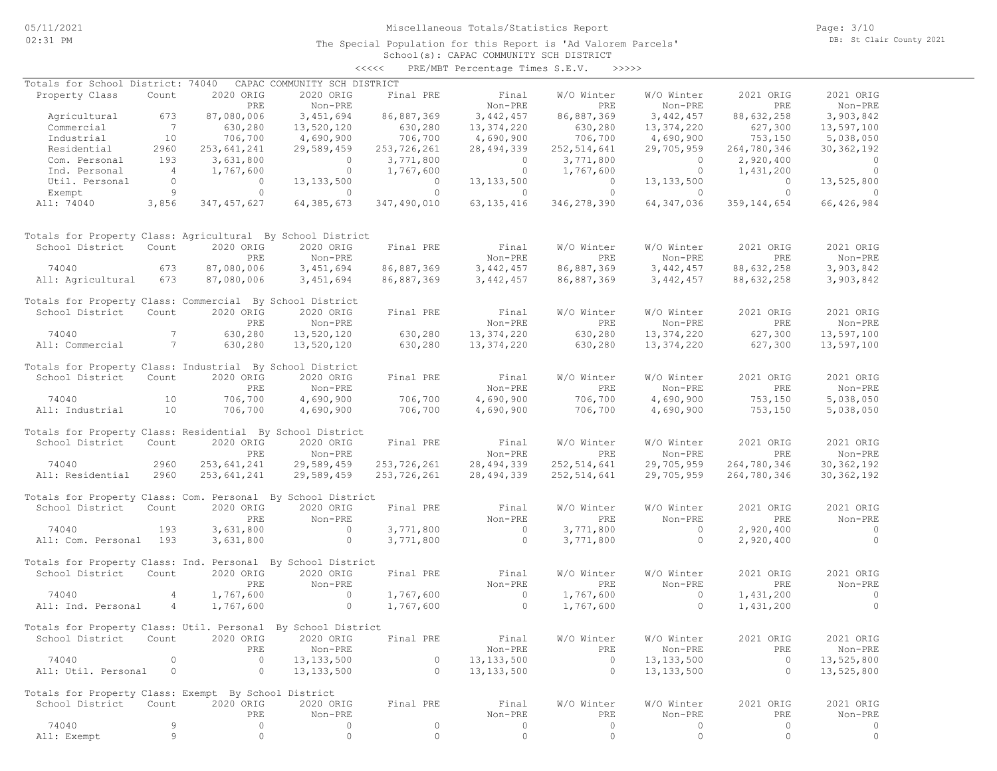#### School(s): CAPAC COMMUNITY SCH DISTRICT <<<<< PRE/MBT Percentage Times S.E.V. >>>>>

| Totals for School District: 74040                            |                 |               | CAPAC COMMUNITY SCH DISTRICT        |                    |                |               |              |                |                |
|--------------------------------------------------------------|-----------------|---------------|-------------------------------------|--------------------|----------------|---------------|--------------|----------------|----------------|
| Property Class                                               | Count           | 2020 ORIG     | 2020 ORIG                           | Final PRE          | Final          | W/O Winter    | W/O Winter   | 2021 ORIG      | 2021 ORIG      |
|                                                              |                 | PRE           | Non-PRE                             |                    | Non-PRE        | PRE           | Non-PRE      | PRE            | Non-PRE        |
| Agricultural                                                 | 673             | 87,080,006    | 3,451,694                           | 86,887,369         | 3,442,457      | 86,887,369    | 3,442,457    | 88,632,258     | 3,903,842      |
| Commercial                                                   | $7\phantom{0}$  | 630,280       | 13,520,120                          |                    | 13,374,220     | 630,280       | 13,374,220   | 627,300        | 13,597,100     |
| Industrial                                                   | 10              | 706,700       | 4,690,900                           | 630,280<br>706,700 | 4,690,900      | 706,700       | 4,690,900    | 753,150        | 5,038,050      |
| Residential                                                  | 2960            | 253,641,241   | 29,589,459                          | 253,726,261        | 28, 494, 339   | 252,514,641   | 29,705,959   | 264,780,346    | 30, 362, 192   |
|                                                              |                 |               |                                     |                    |                |               |              |                |                |
| Com. Personal                                                | 193             | 3,631,800     | $\overline{0}$                      | 3,771,800          | $\overline{0}$ | 3,771,800     | $\circ$      | 2,920,400      | $\sim$ 0       |
| Ind. Personal                                                | $\sim$ 4        | 1,767,600     | $\overline{0}$                      | 1,767,600          | $\overline{0}$ | 1,767,600     | $\circ$      | 1,431,200      | $\circ$        |
| Util. Personal                                               | $\Omega$        | $\circ$       | 13, 133, 500                        | $\overline{0}$     | 13, 133, 500   | $\circ$       | 13, 133, 500 | $\overline{0}$ | 13,525,800     |
| Exempt                                                       | 9               | $\circ$       | $\circ$                             | $\circ$            | $\circ$        | $\circ$       | $\circ$      | $\circ$        | $\circ$        |
| All: 74040                                                   | 3,856           | 347, 457, 627 | 64, 385, 673                        | 347,490,010        | 63, 135, 416   | 346,278,390   | 64, 347, 036 | 359, 144, 654  | 66, 426, 984   |
| Totals for Property Class: Agricultural By School District   |                 |               |                                     |                    |                |               |              |                |                |
| School District                                              | Count           | 2020 ORIG     | 2020 ORIG                           | Final PRE          | Final          | W/O Winter    | W/O Winter   | 2021 ORIG      | 2021 ORIG      |
|                                                              |                 | PRE           | Non-PRE                             |                    | Non-PRE        | PRE           | Non-PRE      | PRE            | Non-PRE        |
| 74040                                                        | 673             | 87,080,006    | 3,451,694                           | 86,887,369         | 3,442,457      | 86,887,369    | 3,442,457    | 88,632,258     | 3,903,842      |
| All: Agricultural                                            | 673             | 87,080,006    | 3,451,694                           | 86,887,369         | 3,442,457      | 86,887,369    | 3,442,457    | 88,632,258     | 3,903,842      |
|                                                              |                 |               |                                     |                    |                |               |              |                |                |
| Totals for Property Class: Commercial By School District     |                 |               |                                     |                    |                |               |              |                |                |
| School District                                              | Count           | 2020 ORIG     | 2020 ORIG                           | Final PRE          | Final          | W/O Winter    | W/O Winter   | 2021 ORIG      | 2021 ORIG      |
|                                                              |                 | PRE           | Non-PRE                             |                    | Non-PRE        | PRE           | Non-PRE      | PRE            | Non-PRE        |
| 74040                                                        | $7\phantom{.0}$ | 630,280       | 13,520,120                          | 630,280            | 13,374,220     | 630,280       | 13,374,220   | 627,300        | 13,597,100     |
| All: Commercial                                              | $7\phantom{0}$  | 630,280       | 13,520,120                          | 630,280            | 13,374,220     | 630,280       | 13,374,220   | 627,300        | 13,597,100     |
|                                                              |                 |               |                                     |                    |                |               |              |                |                |
| Totals for Property Class: Industrial By School District     |                 |               |                                     |                    |                |               |              |                |                |
| School District                                              | Count           | 2020 ORIG     | 2020 ORIG                           | Final PRE          | Final          | W/O Winter    | W/O Winter   | 2021 ORIG      | 2021 ORIG      |
|                                                              |                 | PRE           | Non-PRE                             |                    | Non-PRE        | PRE           | Non-PRE      | PRE            | Non-PRE        |
| 74040                                                        | 10              | 706,700       | 4,690,900                           | 706,700            | 4,690,900      | 706,700       | 4,690,900    | 753,150        | 5,038,050      |
| All: Industrial                                              | 10              | 706,700       | 4,690,900                           | 706,700            | 4,690,900      | 706,700       | 4,690,900    | 753,150        | 5,038,050      |
|                                                              |                 |               |                                     |                    |                |               |              |                |                |
| Totals for Property Class: Residential By School District    |                 |               |                                     |                    |                |               |              |                |                |
| School District                                              | Count           | 2020 ORIG     | 2020 ORIG                           | Final PRE          | Final          | W/O Winter    | W/O Winter   | 2021 ORIG      | 2021 ORIG      |
|                                                              |                 | PRE           | Non-PRE                             |                    | Non-PRE        | PRE           | Non-PRE      | PRE            | Non-PRE        |
| 74040                                                        | 2960            | 253,641,241   | 29,589,459                          | 253,726,261        | 28, 494, 339   | 252, 514, 641 | 29,705,959   | 264,780,346    | 30, 362, 192   |
|                                                              | 2960            |               |                                     |                    |                |               |              |                |                |
| All: Residential                                             |                 | 253,641,241   | 29,589,459                          | 253,726,261        | 28, 494, 339   | 252,514,641   | 29,705,959   | 264,780,346    | 30, 362, 192   |
| Totals for Property Class: Com. Personal By School District  |                 |               |                                     |                    |                |               |              |                |                |
| School District                                              | Count           | 2020 ORIG     | 2020 ORIG                           | Final PRE          | Final          | W/O Winter    | W/O Winter   | 2021 ORIG      | 2021 ORIG      |
|                                                              |                 | PRE           | Non-PRE                             |                    | Non-PRE        | PRE           | Non-PRE      | PRE            | Non-PRE        |
| 74040                                                        | 193             | 3,631,800     | $\sim$ 0                            | 3,771,800          | $\overline{0}$ |               | $\circ$      | 2,920,400      | $\sim$ 0       |
|                                                              |                 |               |                                     |                    |                | 3,771,800     |              |                |                |
| All: Com. Personal                                           | 193             | 3,631,800     | $\circ$                             | 3,771,800          | $\circ$        | 3,771,800     | $\circ$      | 2,920,400      | $\circ$        |
| Totals for Property Class: Ind. Personal By School District  |                 |               |                                     |                    |                |               |              |                |                |
| School District                                              | Count           | 2020 ORIG     | 2020 ORIG                           | Final PRE          | Final          | W/O Winter    | W/O Winter   | 2021 ORIG      | 2021 ORIG      |
|                                                              |                 | PRE           | Non-PRE                             |                    | Non-PRE        | PRE           | Non-PRE      | PRE            | Non-PRE        |
|                                                              | $\overline{4}$  | 1,767,600     | $\circ$                             |                    | $\overline{0}$ |               | $\circ$      | 1,431,200      |                |
| 74040                                                        |                 |               |                                     | 1,767,600          |                | 1,767,600     |              |                | $\overline{0}$ |
| All: Ind. Personal                                           | 4               | 1,767,600     | $\circ$                             | 1,767,600          | $\overline{0}$ | 1,767,600     | $\circ$      | 1,431,200      | $\Omega$       |
| Totals for Property Class: Util. Personal By School District |                 |               |                                     |                    |                |               |              |                |                |
|                                                              |                 |               | Count 2020 ORIG 2020 ORIG Final PRE |                    | Final          | W/O Winter    | W/O Winter   | 2021 ORIG      | 2021 ORIG      |
| School District                                              |                 |               |                                     |                    |                |               |              |                |                |
|                                                              |                 | PRE           | Non-PRE                             |                    | Non-PRE        | PRE           | Non-PRE      | PRE            | Non-PRE        |
| 74040                                                        | 0               | $\circ$       | 13, 133, 500                        | 0                  | 13, 133, 500   | 0             | 13, 133, 500 | $\circ$        | 13,525,800     |
| All: Util. Personal                                          | 0               | $\circ$       | 13, 133, 500                        | 0                  | 13, 133, 500   | $\circ$       | 13, 133, 500 | $\circ$        | 13,525,800     |
| Totals for Property Class: Exempt By School District         |                 |               |                                     |                    |                |               |              |                |                |
|                                                              |                 |               |                                     |                    |                |               |              |                |                |
| School District                                              | Count           | 2020 ORIG     | 2020 ORIG                           | Final PRE          | Final          | W/O Winter    | W/O Winter   | 2021 ORIG      | 2021 ORIG      |
|                                                              |                 | PRE           | Non-PRE                             |                    | Non-PRE        | PRE           | Non-PRE      | PRE            | Non-PRE        |
| 74040                                                        | 9               | 0             | 0                                   | $\circ$            | 0              | $\circ$       | 0            | 0              | 0              |
| All: Exempt                                                  | 9               | 0             | $\circ$                             | $\circ$            | $\circ$        | $\circ$       | $\circ$      | 0              | $\circ$        |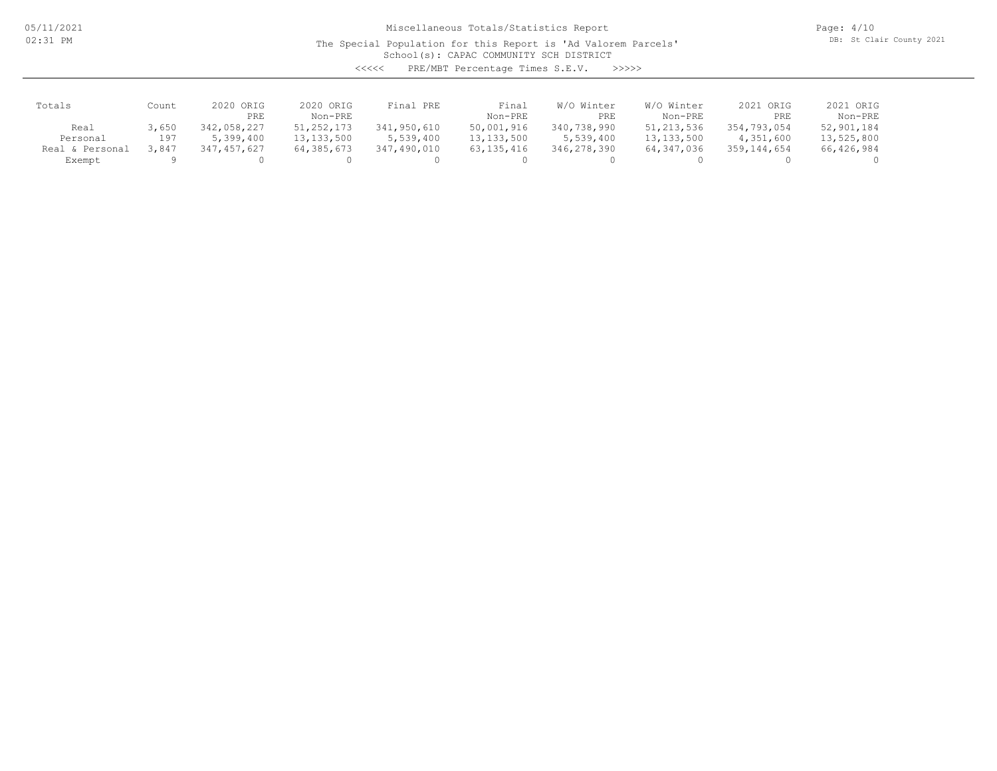05/11/2021 02:31 PM

## Miscellaneous Totals/Statistics Report

The Special Population for this Report is 'Ad Valorem Parcels'

Page: 4/10 DB: St Clair County 2021

School(s): CAPAC COMMUNITY SCH DISTRICT

<<<<< PRE/MBT Percentage Times S.E.V. >>>>>

| Totals          | Count | 2020 ORIG<br>PRE | 2020 ORIG<br>Non-PRE | Final PRE   | Final<br>Non-PRE | W/O Winter<br>PRE | W/O Winter<br>Non-PRE | 2021 ORIG<br>PRE | 2021 ORIG<br>Non-PRE |
|-----------------|-------|------------------|----------------------|-------------|------------------|-------------------|-----------------------|------------------|----------------------|
| Real            | 3,650 | 342,058,227      | 51, 252, 173         | 341,950,610 | 50,001,916       | 340,738,990       | 51, 213, 536          | 354,793,054      | 52,901,184           |
| Personal        | 197   | 5,399,400        | 13, 133, 500         | 5,539,400   | 13, 133, 500     | 5,539,400         | 13, 133, 500          | 4,351,600        | 13,525,800           |
| Real & Personal | 3,847 | 7,457,627        | 64, 385, 673         | 347,490,010 | 63, 135, 416     | 346,278,390       | 64,347,036            | 359,144,654      | 66,426,984           |
| Exempt          |       |                  |                      |             |                  |                   |                       |                  |                      |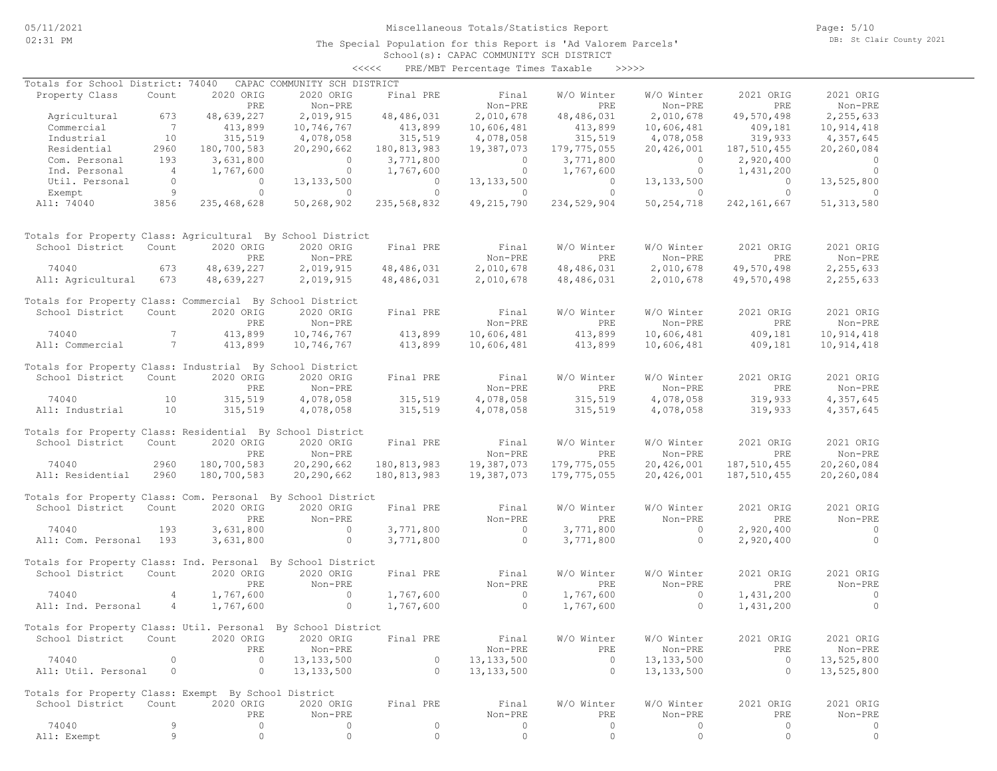School(s): CAPAC COMMUNITY SCH DISTRICT <<<<< PRE/MBT Percentage Times Taxable >>>>>

| Totals for School District: 74040                            |                |               | CAPAC COMMUNITY SCH DISTRICT        |                    |                |                    |                          |                    |                |
|--------------------------------------------------------------|----------------|---------------|-------------------------------------|--------------------|----------------|--------------------|--------------------------|--------------------|----------------|
| Property Class                                               | Count          | 2020 ORIG     | 2020 ORIG                           | Final PRE          | Final          | W/O Winter         | W/O Winter               | 2021 ORIG          | 2021 ORIG      |
|                                                              |                | PRE           | Non-PRE                             |                    | Non-PRE        | PRE                | Non-PRE                  | PRE                | Non-PRE        |
| Agricultural                                                 | 673            | 48,639,227    | 2,019,915                           | 48,486,031         | 2,010,678      | 48,486,031         | 2,010,678                | 49,570,498         | 2,255,633      |
| Commercial                                                   | $\overline{7}$ | 413,899       | 10,746,767                          |                    | 10,606,481     | 413,899<br>315.519 | 10,606,481               |                    | 10,914,418     |
| Industrial                                                   | 10             | 315,519       | 4,078,058                           | 413,899<br>315,519 | 4,078,058      | 315,519            | 4,078,058                | 409,181<br>319,933 | 4,357,645      |
| Residential                                                  | 2960           | 180,700,583   | 20,290,662                          | 180,813,983        | 19,387,073     | 179,775,055        | 20,426,001               | 187,510,455        | 20,260,084     |
| Com. Personal                                                | 193            | 3,631,800     | $\overline{0}$                      | 3,771,800          | $\overline{0}$ | 3,771,800          | $\overline{\phantom{0}}$ | 2,920,400          | $\sim$ 0       |
|                                                              |                |               |                                     |                    |                |                    |                          |                    | $\sim$ 0       |
| Ind. Personal                                                | $\overline{4}$ | 1,767,600     | $\overline{0}$                      | 1,767,600          | $\circ$        | 1,767,600          | $\overline{0}$           | 1,431,200          |                |
| Util. Personal                                               | $\Omega$       | $\circ$       | 13, 133, 500                        | $\overline{0}$     | 13, 133, 500   | $\overline{0}$     | 13, 133, 500             | $\bigcirc$         | 13,525,800     |
| Exempt                                                       | $\overline{9}$ | $\circ$       | $\overline{0}$                      | $\circ$            | $\circ$        | $\circ$            | $\circ$                  | $\overline{0}$     | $\circ$        |
| All: 74040                                                   | 3856           | 235, 468, 628 | 50,268,902                          | 235,568,832        | 49,215,790     | 234,529,904        | 50, 254, 718             | 242, 161, 667      | 51, 313, 580   |
| Totals for Property Class: Agricultural By School District   |                |               |                                     |                    |                |                    |                          |                    |                |
| School District                                              | Count          | 2020 ORIG     | 2020 ORIG                           | Final PRE          | Final          | W/O Winter         | W/O Winter               | 2021 ORIG          | 2021 ORIG      |
|                                                              |                | PRE           | Non-PRE                             |                    | Non-PRE        | PRE                | Non-PRE                  | PRE                | Non-PRE        |
| 74040                                                        | 673            | 48,639,227    | 2,019,915                           | 48,486,031         | 2,010,678      | 48,486,031         | 2,010,678                | 49,570,498         | 2,255,633      |
| All: Agricultural                                            | 673            | 48,639,227    | 2,019,915                           | 48,486,031         | 2,010,678      | 48,486,031         | 2,010,678                | 49,570,498         | 2,255,633      |
|                                                              |                |               |                                     |                    |                |                    |                          |                    |                |
| Totals for Property Class: Commercial By School District     |                |               |                                     |                    |                |                    |                          |                    |                |
| School District                                              | Count          | 2020 ORIG     | 2020 ORIG                           | Final PRE          | Final          | W/O Winter         | W/O Winter               | 2021 ORIG          | 2021 ORIG      |
|                                                              |                | PRE           | Non-PRE                             |                    | Non-PRE        | PRE                | Non-PRE                  | PRE                | Non-PRE        |
| 74040                                                        | $7^{\circ}$    | 413,899       | 10,746,767                          | 413,899            | 10,606,481     | 413,899            | 10,606,481               | 409,181            | 10,914,418     |
| All: Commercial                                              | $7\phantom{0}$ | 413,899       | 10,746,767                          | 413,899            | 10,606,481     | 413,899            | 10,606,481               | 409,181            | 10,914,418     |
|                                                              |                |               |                                     |                    |                |                    |                          |                    |                |
| Totals for Property Class: Industrial By School District     |                |               |                                     |                    |                |                    |                          |                    |                |
| School District                                              | Count          | 2020 ORIG     | 2020 ORIG                           | Final PRE          | Final          | W/O Winter         | W/O Winter               | 2021 ORIG          | 2021 ORIG      |
|                                                              |                | PRE           | Non-PRE                             |                    | Non-PRE        | PRE                | Non-PRE                  | PRE                | Non-PRE        |
| 74040                                                        | 10             | 315,519       | 4,078,058                           | 315, 519           | 4,078,058      | 315,519            | 4,078,058                | 319,933            | 4,357,645      |
| All: Industrial                                              | 10             | 315,519       | 4,078,058                           | 315,519            | 4,078,058      | 315,519            | 4,078,058                | 319,933            | 4,357,645      |
|                                                              |                |               |                                     |                    |                |                    |                          |                    |                |
| Totals for Property Class: Residential By School District    |                |               |                                     |                    |                |                    |                          |                    |                |
| School District                                              | Count          | 2020 ORIG     | 2020 ORIG                           | Final PRE          | Final          | W/O Winter         | W/O Winter               | 2021 ORIG          | 2021 ORIG      |
|                                                              |                | PRE           | Non-PRE                             |                    | Non-PRE        | PRE                | Non-PRE                  | PRE                | Non-PRE        |
| 74040                                                        | 2960           | 180,700,583   | 20,290,662                          | 180, 813, 983      | 19,387,073     | 179,775,055        | 20,426,001               | 187,510,455        | 20,260,084     |
| All: Residential                                             | 2960           |               |                                     |                    |                |                    |                          |                    |                |
|                                                              |                | 180,700,583   | 20,290,662                          | 180, 813, 983      | 19,387,073     | 179,775,055        | 20,426,001               | 187,510,455        | 20,260,084     |
| Totals for Property Class: Com. Personal By School District  |                |               |                                     |                    |                |                    |                          |                    |                |
| School District                                              | Count          | 2020 ORIG     | 2020 ORIG                           | Final PRE          | Final          | W/O Winter         | W/O Winter               | 2021 ORIG          | 2021 ORIG      |
|                                                              |                | <b>PRE</b>    | Non-PRE                             |                    | Non-PRE        | PRE                | Non-PRE                  | <b>PRE</b>         | Non-PRE        |
|                                                              |                |               |                                     |                    |                |                    |                          |                    |                |
| 74040                                                        | 193            | 3,631,800     | $\overline{0}$                      | 3,771,800          | $\overline{0}$ | 3,771,800          | $\overline{0}$           | 2,920,400          | $\sim$ 0       |
| All: Com. Personal 193                                       |                | 3,631,800     | $\overline{0}$                      | 3,771,800          | $\overline{0}$ | 3,771,800          | $\circ$                  | 2,920,400          | $\overline{0}$ |
| Totals for Property Class: Ind. Personal By School District  |                |               |                                     |                    |                |                    |                          |                    |                |
|                                                              |                |               |                                     |                    |                |                    |                          |                    |                |
| School District                                              | Count          | 2020 ORIG     | 2020 ORIG                           | Final PRE          | Final          | W/O Winter         | W/O Winter               | 2021 ORIG          | 2021 ORIG      |
|                                                              |                | PRE           | Non-PRE                             |                    | Non-PRE        | PRE                | Non-PRE                  | PRE                | Non-PRE        |
| 74040                                                        | $\overline{4}$ | 1,767,600     | $\sim$ 0                            | 1,767,600          | $\overline{0}$ | 1,767,600          | $\overline{0}$           | 1,431,200          | $\overline{0}$ |
| All: Ind. Personal                                           | 4              | 1,767,600     | $\overline{0}$                      | 1,767,600          | $\overline{0}$ | 1,767,600          | $\circ$                  | 1,431,200          | $\overline{0}$ |
|                                                              |                |               |                                     |                    |                |                    |                          |                    |                |
| Totals for Property Class: Util. Personal By School District |                |               |                                     |                    |                |                    |                          |                    |                |
| School District                                              |                |               | Count 2020 ORIG 2020 ORIG Final PRE |                    | Final          | W/O Winter         | W/O Winter               | 2021 ORIG          | 2021 ORIG      |
|                                                              |                | PRE           | Non-PRE                             |                    | Non-PRE        | PRE                | Non-PRE                  | PRE                | Non-PRE        |
| 74040                                                        | 0              | $\circ$       | 13, 133, 500                        | $\circ$            | 13, 133, 500   | $\circ$            | 13, 133, 500             | $\circ$            | 13,525,800     |
| All: Util. Personal                                          | 0              | 0             | 13, 133, 500                        | 0                  | 13, 133, 500   | $\circ$            | 13, 133, 500             | $\circ$            | 13,525,800     |
|                                                              |                |               |                                     |                    |                |                    |                          |                    |                |
| Totals for Property Class: Exempt By School District         |                |               |                                     |                    |                |                    |                          |                    |                |
| School District                                              | Count          | 2020 ORIG     | 2020 ORIG                           | Final PRE          | Final          | W/O Winter         | W/O Winter               | 2021 ORIG          | 2021 ORIG      |
|                                                              |                | PRE           | Non-PRE                             |                    | Non-PRE        | PRE                | Non-PRE                  | PRE                | Non-PRE        |
| 74040                                                        | 9              | 0             | 0                                   | 0                  | 0              | 0                  | 0                        | 0                  | 0              |
| All: Exempt                                                  | 9              | $\circ$       | $\circ$                             | $\circ$            | $\circ$        | $\circ$            | $\circ$                  | $\circ$            | $\circ$        |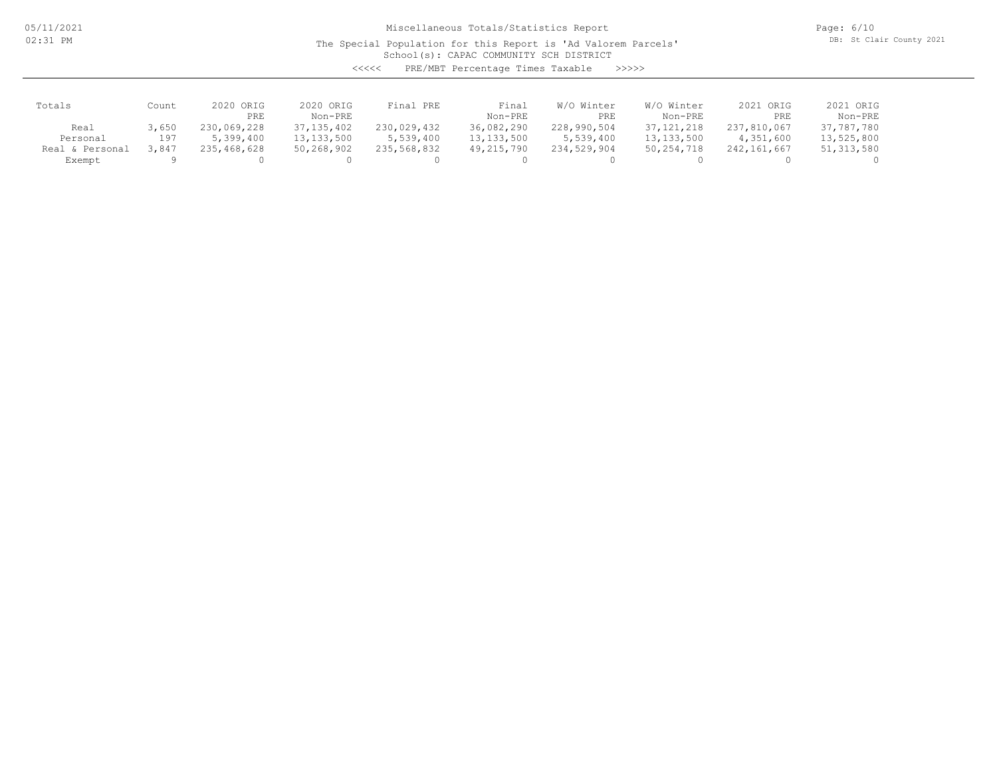05/11/2021 02:31 PM

## Miscellaneous Totals/Statistics Report

The Special Population for this Report is 'Ad Valorem Parcels'

Page: 6/10 DB: St Clair County 2021

School(s): CAPAC COMMUNITY SCH DISTRICT

<<<<< PRE/MBT Percentage Times Taxable >>>>>

| Totals          | Count | 2020 ORIG   | 2020 ORIG    | Final PRE   | Final        | W/O Winter  | W/O Winter   | 2021 ORIG     | 2021 ORIG    |
|-----------------|-------|-------------|--------------|-------------|--------------|-------------|--------------|---------------|--------------|
|                 |       | PRE         | Non-PRE      |             | Non-PRE      | PRE         | Non-PRE      | PRE           | Non-PRE      |
| Real            | 3,650 | 230,069,228 | 37, 135, 402 | 230,029,432 | 36,082,290   | 228,990,504 | 37, 121, 218 | 237,810,067   | 37,787,780   |
| Personal        | 197   | 5,399,400   | 13, 133, 500 | 5,539,400   | 13, 133, 500 | 5,539,400   | 13, 133, 500 | 4,351,600     | 13,525,800   |
| Real & Personal | 3.847 | 235,468,628 | 50,268,902   | 235,568,832 | 49,215,790   | 234,529,904 | 50, 254, 718 | 242, 161, 667 | 51, 313, 580 |
| Exempt          |       |             |              |             |              |             |              |               |              |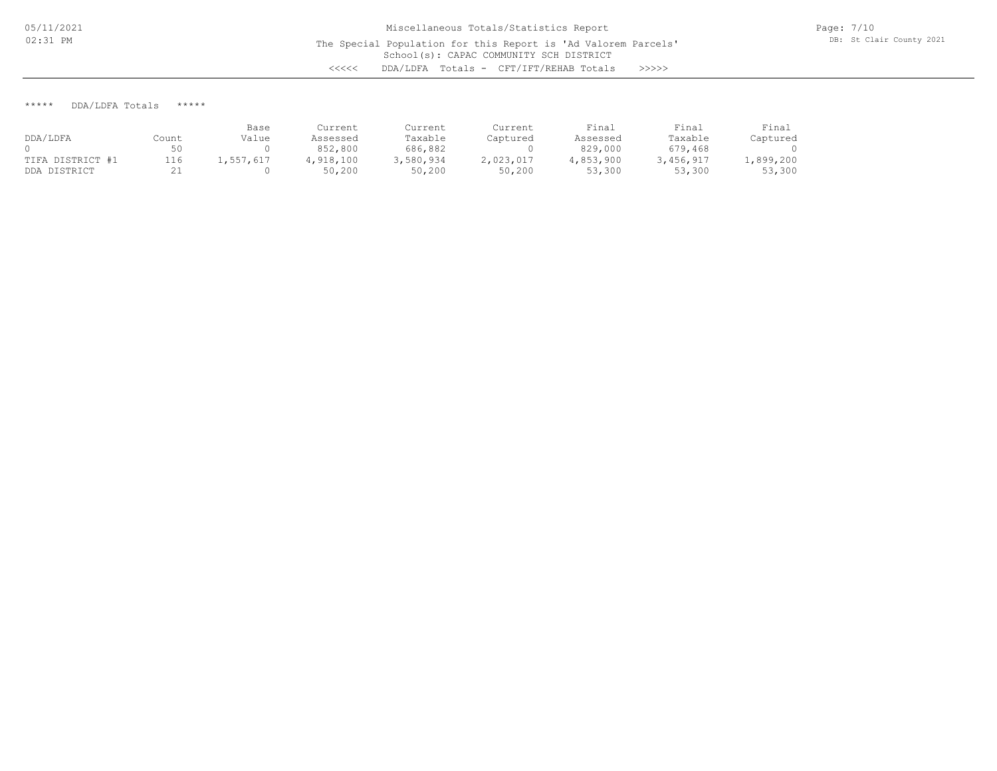\*\*\*\*\* DDA/LDFA Totals \*\*\*\*\*

|                  |            | Base      | Current   | Current   | Current   | Final     | Final     | Final    |
|------------------|------------|-----------|-----------|-----------|-----------|-----------|-----------|----------|
| DDA/LDFA         | Count      | Value     | Assessed  | Taxable   | Captured  | Assessed  | Taxable   | Captured |
|                  | 50         |           | 852,800   | 686,882   |           | 829,000   | 679,468   |          |
| TIFA DISTRICT #1 | 116        | 1,557,617 | 4,918,100 | 3,580,934 | 2,023,017 | 4,853,900 | 3,456,917 | ,899,200 |
| DDA DISTRICT     | <u>. .</u> |           | 50,200    | 50,200    | 50,200    | 53,300    | 53,300    | 53,300   |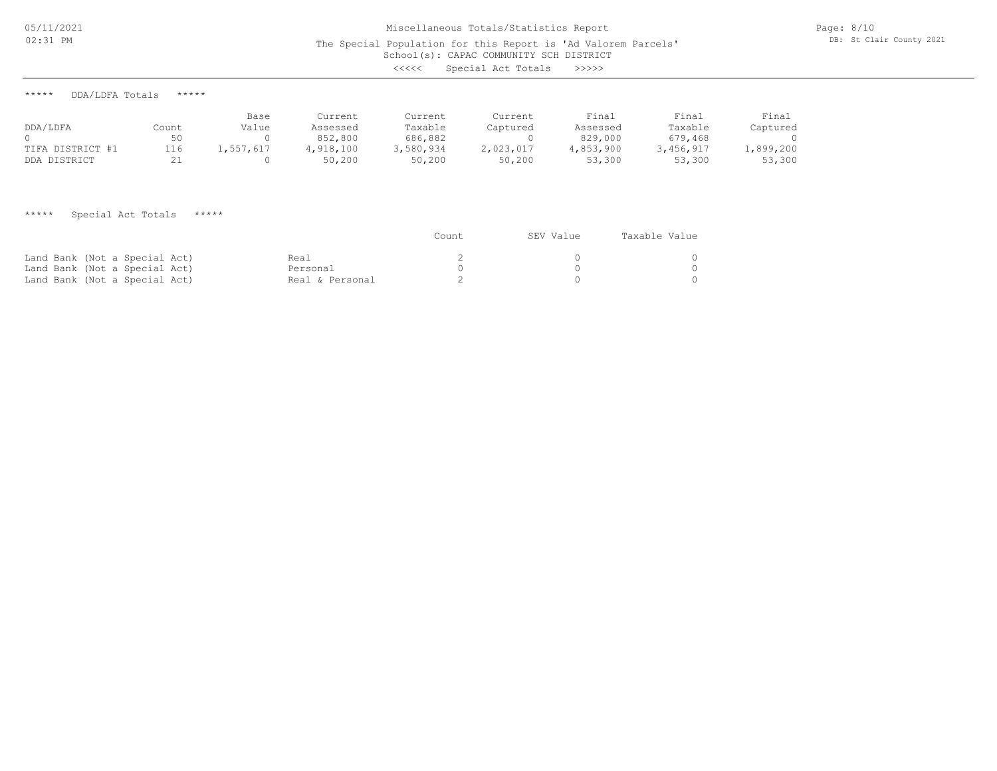# School(s): CAPAC COMMUNITY SCH DISTRICT Miscellaneous Totals/Statistics Report The Special Population for this Report is 'Ad Valorem Parcels' <<<<< Special Act Totals >>>>>

\*\*\*\*\* DDA/LDFA Totals \*\*\*\*\*

| DDA/LDFA         | Count      | Base<br>Value | Current<br>Assessed | Current<br>Taxable | Current<br>Captured | Final<br>Assessed | Final<br>Taxable | Final<br>Captured |
|------------------|------------|---------------|---------------------|--------------------|---------------------|-------------------|------------------|-------------------|
|                  |            |               | 852,800             | 686,882            |                     | 829,000           | 679,468          |                   |
| TIFA DISTRICT #1 | 116        | 1,557,617     | 4,918,100           | 3,580,934          | 2,023,017           | 4,853,900         | 3,456,917        | ,899,200          |
| DDA DISTRICT     | <u>، ے</u> |               | 50,200              | 50,200             | 50,200              | 53,300            | 53,300           | 53,300            |

## \*\*\*\*\* Special Act Totals \*\*\*\*\*

|                               |                 | Count | SEV Value | Taxable Value |
|-------------------------------|-----------------|-------|-----------|---------------|
| Land Bank (Not a Special Act) | Real            |       |           |               |
| Land Bank (Not a Special Act) | Personal        |       |           |               |
| Land Bank (Not a Special Act) | Real & Personal |       |           |               |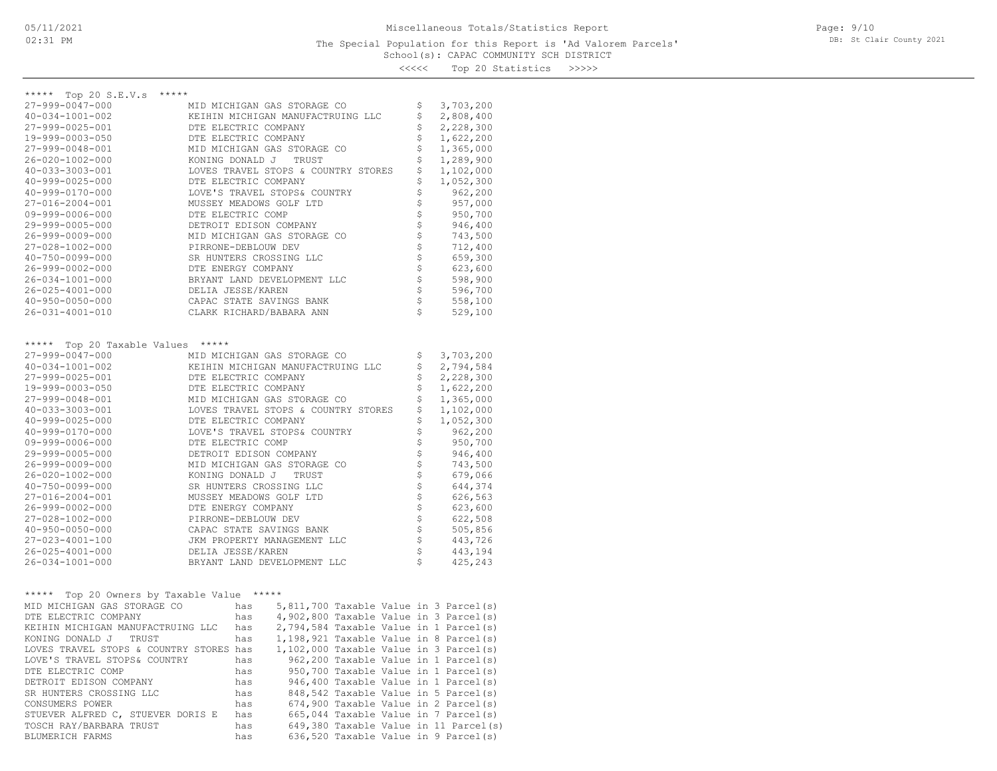<<<<< Top 20 Statistics >>>>>

| ***** Top 20 S.E.V.s<br>*****                 |                                                   |          |                    |
|-----------------------------------------------|---------------------------------------------------|----------|--------------------|
| 27-999-0047-000                               | MID MICHIGAN GAS STORAGE CO                       | Ş        | 3,703,200          |
| 40-034-1001-002                               | KEIHIN MICHIGAN MANUFACTRUING LLC                 | \$       | 2,808,400          |
| 27-999-0025-001                               | DTE ELECTRIC COMPANY                              | \$       | 2,228,300          |
| 19-999-0003-050                               | DTE ELECTRIC COMPANY                              | \$       | 1,622,200          |
| 27-999-0048-001                               | MID MICHIGAN GAS STORAGE CO                       | \$       | 1,365,000          |
| 26-020-1002-000                               | KONING DONALD J TRUST                             | \$       | 1,289,900          |
| 40-033-3003-001                               | LOVES TRAVEL STOPS & COUNTRY STORES               | \$       | 1,102,000          |
| 40-999-0025-000                               | DTE ELECTRIC COMPANY                              | \$       | 1,052,300          |
| $40 - 999 - 0170 - 000$                       | LOVE'S TRAVEL STOPS& COUNTRY                      | \$       | 962,200            |
| 27-016-2004-001                               | MUSSEY MEADOWS GOLF LTD                           | \$       | 957,000            |
| $09 - 999 - 0006 - 000$                       | DTE ELECTRIC COMP                                 | \$       | 950,700            |
| 29-999-0005-000                               | DETROIT EDISON COMPANY                            | \$       | 946,400            |
| 26-999-0009-000                               | MID MICHIGAN GAS STORAGE CO                       |          | 743,500            |
| 27-028-1002-000<br>40-750-0099-000            | PIRRONE-DEBLOUW DEV                               | \$       | 712,400            |
|                                               | SR HUNTERS CROSSING LLC                           | \$       | 659,300            |
| 26-999-0002-000                               | DTE ENERGY COMPANY                                | \$       | 623,600            |
| 26-034-1001-000                               | BRYANT LAND DEVELOPMENT LLC                       | \$<br>\$ | 598,900            |
| 26-025-4001-000                               | DELIA JESSE/KAREN                                 | \$       | 596,700            |
| $40 - 950 - 0050 - 000$                       | CAPAC STATE SAVINGS BANK                          | Ś        | 558,100            |
| 26-031-4001-010                               | CLARK RICHARD/BABARA ANN                          |          | 529,100            |
|                                               |                                                   |          |                    |
| ***** Top 20 Taxable Values *****             |                                                   |          |                    |
| 27-999-0047-000                               | MID MICHIGAN GAS STORAGE CO                       | Ş        | 3,703,200          |
| 40-034-1001-002                               | KEIHIN MICHIGAN MANUFACTRUING LLC                 | \$       | 2,794,584          |
| 27-999-0025-001                               | DTE ELECTRIC COMPANY                              | \$       | 2,228,300          |
| 19-999-0003-050                               | DTE ELECTRIC COMPANY                              | \$       | 1,622,200          |
| 27-999-0048-001                               | MID MICHIGAN GAS STORAGE CO                       | \$       | 1,365,000          |
| 40-033-3003-001                               | LOVES TRAVEL STOPS & COUNTRY STORES               | \$       | 1,102,000          |
| 40-999-0025-000                               | DTE ELECTRIC COMPANY                              | \$       | 1,052,300          |
| 40-999-0170-000<br>09-999-0006-000            | LOVE'S TRAVEL STOPS& COUNTRY<br>DTE ELECTRIC COMP | \$       | 962,200<br>950,700 |
| 29-999-0005-000                               | DETROIT EDISON COMPANY                            | \$       | 946,400            |
| 26-999-0009-000                               | MID MICHIGAN GAS STORAGE CO                       | \$       | 743,500            |
| 26-020-1002-000                               | KONING DONALD J TRUST                             | \$       | 679,066            |
| $40 - 750 - 0099 - 000$                       | SR HUNTERS CROSSING LLC                           |          | 644,374            |
| 27-016-2004-001                               | MUSSEY MEADOWS GOLF LTD                           |          | 626,563            |
| 26-999-0002-000                               | DTE ENERGY COMPANY                                |          | 623,600            |
| 27-028-1002-000                               | PIRRONE-DEBLOUW DEV                               | ななな      | 622,508            |
| $40 - 950 - 0050 - 000$                       | CAPAC STATE SAVINGS BANK                          | \$       | 505,856            |
| 27-023-4001-100                               | JKM PROPERTY MANAGEMENT LLC                       | \$       | 443,726            |
| 26-025-4001-000                               | DELIA JESSE/KAREN                                 | \$       | 443,194            |
| 26-034-1001-000                               | BRYANT LAND DEVELOPMENT LLC                       | \$       | 425,243            |
|                                               |                                                   |          |                    |
| Top 20 Owners by Taxable Value *****<br>***** |                                                   |          |                    |
| MID MICHIGAN GAS STORAGE CO                   | 5,811,700 Taxable Value in 3 Parcel(s)<br>has     |          |                    |
| DTE ELECTRIC COMPANY                          | 4,902,800 Taxable Value in 3 Parcel(s)<br>has     |          |                    |
| KEIHIN MICHIGAN MANUFACTRUING LLC             | 2,794,584 Taxable Value in 1 Parcel(s)<br>has     |          |                    |
| KONING DONALD J TRUST                         | 1,198,921 Taxable Value in 8 Parcel(s)<br>has     |          |                    |
| LOVES TRAVEL STOPS & COUNTRY STORES has       | 1,102,000 Taxable Value in 3 Parcel(s)            |          |                    |
| LOVE'S TRAVEL STOPS& COUNTRY                  | 962,200 Taxable Value in 1 Parcel(s)<br>has       |          |                    |
| DTE ELECTRIC COMP                             | 950,700 Taxable Value in 1 Parcel(s)<br>has       |          |                    |
| DETROIT EDISON COMPANY                        | 946,400 Taxable Value in 1 Parcel(s)<br>has       |          |                    |
| SR HUNTERS CROSSING LLC                       | 848,542 Taxable Value in 5 Parcel(s)<br>has       |          |                    |
| CONSUMERS POWER                               | 674,900 Taxable Value in 2 Parcel(s)<br>has       |          |                    |
| STUEVER ALFRED C, STUEVER DORIS E             | 665,044 Taxable Value in 7 Parcel(s)<br>has       |          |                    |
| TOSCH RAY/BARBARA TRUST                       | 649,380 Taxable Value in 11 Parcel(s)<br>has      |          |                    |
| BLUMERICH FARMS                               | 636,520 Taxable Value in 9 Parcel(s)<br>has       |          |                    |